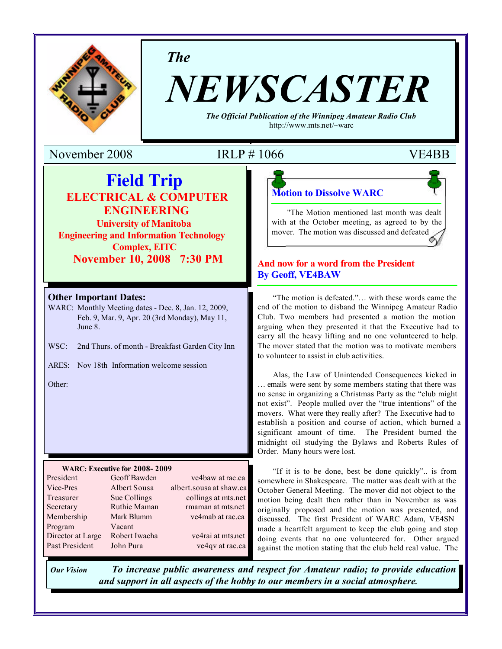

*The*

# *NEWSCASTER*

*The Official Publication of the Winnipeg Amateur Radio Club* http://www.mts.net/~warc

November 2008 IRLP # 1066 VE4BB

## **Field Trip ELECTRICAL & COMPUTER ENGINEERING**

**University of Manitoba Engineering and Information Technology Complex, EITC November 10, 2008 7:30 PM**

#### **Other Important Dates:**

WARC: Monthly Meeting dates - Dec. 8, Jan. 12, 2009, Feb. 9, Mar. 9, Apr. 20 (3rd Monday), May 11, June 8.

- WSC: 2nd Thurs. of month Breakfast Garden City Inn
- ARES: Nov 18th Information welcome session

Other:

#### **WARC: Executive for 2008- 2009**

| President         | Geoff Bawden  | ve4baw at rac.ca        |
|-------------------|---------------|-------------------------|
| Vice-Pres         | Albert Sousa  | albert.sousa at shaw.ca |
| Treasurer         | Sue Collings  | collings at mts.net     |
| Secretary         | Ruthie Maman  | rmaman at mts.net       |
| Membership        | Mark Blumm    | ve4mab at rac.ca        |
| Program           | Vacant        |                         |
| Director at Large | Robert Iwacha | ve4rai at mts.net       |
| Past President    | John Pura     | ve4qv at rac.ca         |
|                   |               |                         |

# **Motion to Dissolve WARC**

"The Motion mentioned last month was dealt with at the October meeting, as agreed to by the mover. The motion was discussed and defeated

### **And now for a word from the President By Geoff, VE4BAW**

"The motion is defeated."… with these words came the end of the motion to disband the Winnipeg Amateur Radio Club. Two members had presented a motion the motion arguing when they presented it that the Executive had to carry all the heavy lifting and no one volunteered to help. The mover stated that the motion was to motivate members to volunteer to assist in club activities.

Alas, the Law of Unintended Consequences kicked in … emails were sent by some members stating that there was no sense in organizing a Christmas Party as the "club might not exist". People mulled over the "true intentions" of the movers. What were they really after? The Executive had to establish a position and course of action, which burned a significant amount of time. The President burned the midnight oil studying the Bylaws and Roberts Rules of Order. Many hours were lost.

"If it is to be done, best be done quickly".. is from somewhere in Shakespeare. The matter was dealt with at the October General Meeting. The mover did not object to the motion being dealt then rather than in November as was originally proposed and the motion was presented, and discussed. The first President of WARC Adam, VE4SN made a heartfelt argument to keep the club going and stop doing events that no one volunteered for. Other argued against the motion stating that the club held real value. The

*Our Vision To increase public awareness and respect for Amateur radio; to provide education and support in all aspects of the hobby to our members in a social atmosphere.*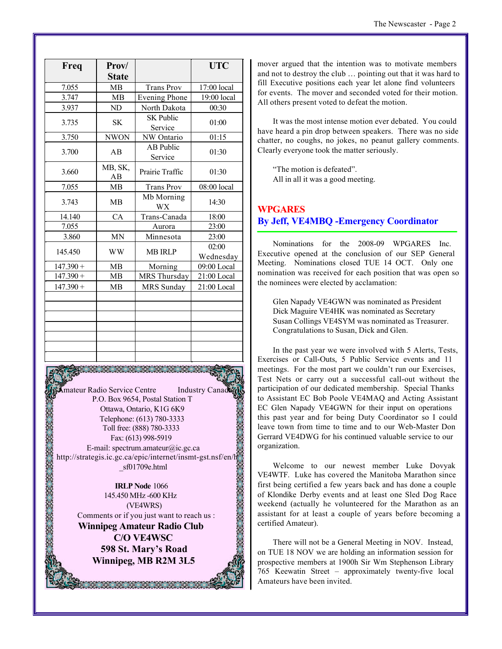| Freq        | Prov/         |                             | <b>UTC</b>         |
|-------------|---------------|-----------------------------|--------------------|
|             | <b>State</b>  |                             |                    |
| 7.055       | <b>MB</b>     | <b>Trans Prov</b>           | $17:00$ local      |
| 3.747       | <b>MB</b>     | <b>Evening Phone</b>        | 19:00 local        |
| 3.937       | ND            | North Dakota                | 00:30              |
| 3.735       | <b>SK</b>     | <b>SK Public</b><br>Service | 01:00              |
| 3.750       | <b>NWON</b>   | NW Ontario                  | 01:15              |
| 3.700       | AB            | <b>AB Public</b><br>Service | 01:30              |
| 3.660       | MB, SK,<br>AB | Prairie Traffic             | 01:30              |
| 7.055       | MB            | <b>Trans Prov</b>           | 08:00 local        |
| 3.743       | <b>MB</b>     | Mb Morning<br><b>WX</b>     | 14:30              |
| 14.140      | CA            | Trans-Canada                | 18:00              |
| 7.055       |               | Aurora                      | 23:00              |
| 3.860       | <b>MN</b>     | Minnesota                   | 23:00              |
| 145.450     | <b>WW</b>     | <b>MB IRLP</b>              | 02:00<br>Wednesday |
| $147.390 +$ | MB            | Morning                     | 09:00 Local        |
| $147.390 +$ | <b>MB</b>     | MRS Thursday                | 21:00 Local        |
| $147.390 +$ | MB            | <b>MRS</b> Sunday           | 21:00 Local        |
|             |               |                             |                    |
|             |               |                             |                    |
|             |               |                             |                    |
|             |               |                             |                    |
|             |               |                             |                    |

**Amateur Radio Service Centre** Industry Canad P.O. Box 9654, Postal Station T Ottawa, Ontario, K1G 6K9 Telephone: (613) 780-3333 Toll free: (888) 780-3333 Fax: (613) 998-5919 E-mail: spectrum.amateur@ic.gc.ca http://strategis.ic.gc.ca/epic/internet/insmt-gst.nsf/en/h \_sf01709e.html

**IRLP Node** 1066 145.450 MHz -600 KHz (VE4WRS) Comments or if you just want to reach us :

**Winnipeg Amateur Radio Club C/O VE4WSC 598 St. Mary's Road Winnipeg, MB R2M 3L5**

36. 36. 36. 36. 36

mover argued that the intention was to motivate members and not to destroy the club … pointing out that it was hard to fill Executive positions each year let alone find volunteers for events. The mover and seconded voted for their motion. All others present voted to defeat the motion.

It was the most intense motion ever debated. You could have heard a pin drop between speakers. There was no side chatter, no coughs, no jokes, no peanut gallery comments. Clearly everyone took the matter seriously.

"The motion is defeated". All in all it was a good meeting.

## **WPGARES By Jeff, VE4MBQ -Emergency Coordinator**

Nominations for the 2008-09 WPGARES Inc. Executive opened at the conclusion of our SEP General Meeting. Nominations closed TUE 14 OCT. Only one nomination was received for each position that was open so the nominees were elected by acclamation:

Glen Napady VE4GWN was nominated as President Dick Maguire VE4HK was nominated as Secretary Susan Collings VE4SYM was nominated as Treasurer. Congratulations to Susan, Dick and Glen.

In the past year we were involved with 5 Alerts, Tests, Exercises or Call-Outs, 5 Public Service events and 11 meetings. For the most part we couldn't run our Exercises, Test Nets or carry out a successful call-out without the participation of our dedicated membership. Special Thanks to Assistant EC Bob Poole VE4MAQ and Acting Assistant EC Glen Napady VE4GWN for their input on operations this past year and for being Duty Coordinator so I could leave town from time to time and to our Web-Master Don Gerrard VE4DWG for his continued valuable service to our organization.

Welcome to our newest member Luke Dovyak VE4WTF. Luke has covered the Manitoba Marathon since first being certified a few years back and has done a couple of Klondike Derby events and at least one Sled Dog Race weekend (actually he volunteered for the Marathon as an assistant for at least a couple of years before becoming a certified Amateur).

There will not be a General Meeting in NOV. Instead, on TUE 18 NOV we are holding an information session for prospective members at 1900h Sir Wm Stephenson Library 765 Keewatin Street – approximately twenty-five local Amateurs have been invited.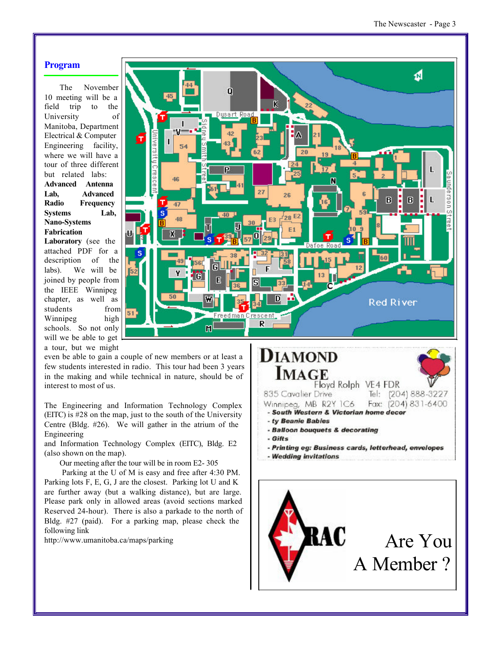#### **Program**

The November 10 meeting will be a field trip to the University of Manitoba, Department Electrical & Computer Engineering facility, where we will have a tour of three different but related labs: **Advanced Antenna Lab, Advanced Radio Frequency Systems Lab, Nano-Systems Fabrication**

**Laboratory** (see the attached PDF for a description of the labs). We will be joined by people from the IEEE Winnipeg chapter, as well as students from Winnipeg high schools. So not only will we be able to get a tour, but we might



even be able to gain a couple of new members or at least a few students interested in radio. This tour had been 3 years in the making and while technical in nature, should be of interest to most of us.

The Engineering and Information Technology Complex (EITC) is #28 on the map, just to the south of the University Centre (Bldg. #26). We will gather in the atrium of the Engineering

and Information Technology Complex (EITC), Bldg. E2 (also shown on the map).

Our meeting after the tour will be in room E2- 305

Parking at the U of M is easy and free after 4:30 PM. Parking lots F, E, G, J are the closest. Parking lot U and K are further away (but a walking distance), but are large. Please park only in allowed areas (avoid sections marked Reserved 24-hour). There is also a parkade to the north of Bldg. #27 (paid). For a parking map, please check the following link

http://www.umanitoba.ca/maps/parking



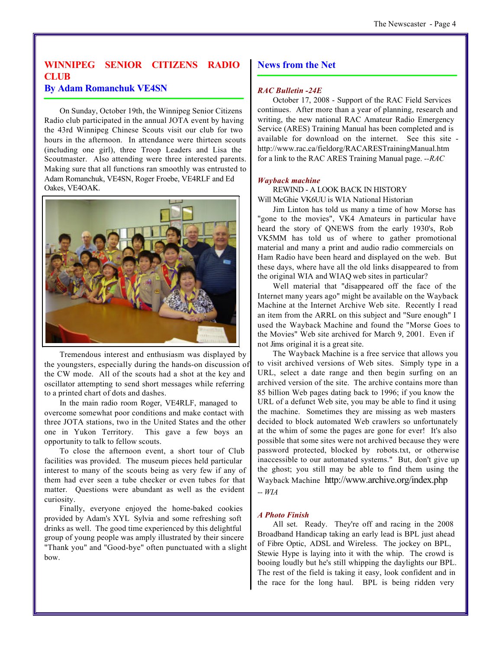#### **WINNIPEG SENIOR CITIZENS RADIO CLUB By Adam Romanchuk VE4SN**

On Sunday, October 19th, the Winnipeg Senior Citizens Radio club participated in the annual JOTA event by having the 43rd Winnipeg Chinese Scouts visit our club for two hours in the afternoon. In attendance were thirteen scouts (including one girl), three Troop Leaders and Lisa the Scoutmaster. Also attending were three interested parents. Making sure that all functions ran smoothly was entrusted to Adam Romanchuk, VE4SN, Roger Froebe, VE4RLF and Ed Oakes, VE4OAK.



Tremendous interest and enthusiasm was displayed by the youngsters, especially during the hands-on discussion of the CW mode. All of the scouts had a shot at the key and oscillator attempting to send short messages while referring to a printed chart of dots and dashes.

In the main radio room Roger, VE4RLF, managed to overcome somewhat poor conditions and make contact with three JOTA stations, two in the United States and the other one in Yukon Territory. This gave a few boys an opportunity to talk to fellow scouts.

To close the afternoon event, a short tour of Club facilities was provided. The museum pieces held particular interest to many of the scouts being as very few if any of them had ever seen a tube checker or even tubes for that matter. Questions were abundant as well as the evident curiosity.

Finally, everyone enjoyed the home-baked cookies provided by Adam's XYL Sylvia and some refreshing soft drinks as well. The good time experienced by this delightful group of young people was amply illustrated by their sincere "Thank you" and "Good-bye" often punctuated with a slight bow.

#### **News from the Net**

#### *RAC Bulletin -24E*

October 17, 2008 - Support of the RAC Field Services continues. After more than a year of planning, research and writing, the new national RAC Amateur Radio Emergency Service (ARES) Training Manual has been completed and is available for download on the internet. See this site http://www.rac.ca/fieldorg/RACARESTrainingManual.htm for a link to the RAC ARES Training Manual page. *--RAC*

#### *Wayback machine*

REWIND - A LOOK BACK IN HISTORY Will McGhie VK6UU is WIA National Historian

Jim Linton has told us many a time of how Morse has "gone to the movies", VK4 Amateurs in particular have heard the story of QNEWS from the early 1930's, Rob VK5MM has told us of where to gather promotional material and many a print and audio radio commercials on Ham Radio have been heard and displayed on the web. But these days, where have all the old links disappeared to from the original WIA and WIAQ web sites in particular?

Well material that "disappeared off the face of the Internet many years ago" might be available on the Wayback Machine at the Internet Archive Web site. Recently I read an item from the ARRL on this subject and "Sure enough" I used the Wayback Machine and found the "Morse Goes to the Movies" Web site archived for March 9, 2001. Even if not Jims original it is a great site.

The Wayback Machine is a free service that allows you to visit archived versions of Web sites. Simply type in a URL, select a date range and then begin surfing on an archived version of the site. The archive contains more than 85 billion Web pages dating back to 1996; if you know the URL of a defunct Web site, you may be able to find it using the machine. Sometimes they are missing as web masters decided to block automated Web crawlers so unfortunately at the whim of some the pages are gone for ever! It's also possible that some sites were not archived because they were password protected, blocked by robots.txt, or otherwise inaccessible to our automated systems." But, don't give up the ghost; you still may be able to find them using the Wayback Machine http://www.archive.org/index.php *-- WIA*

#### *A Photo Finish*

All set. Ready. They're off and racing in the 2008 Broadband Handicap taking an early lead is BPL just ahead of Fibre Optic, ADSL and Wireless. The jockey on BPL, Stewie Hype is laying into it with the whip. The crowd is booing loudly but he's still whipping the daylights our BPL. The rest of the field is taking it easy, look confident and in the race for the long haul. BPL is being ridden very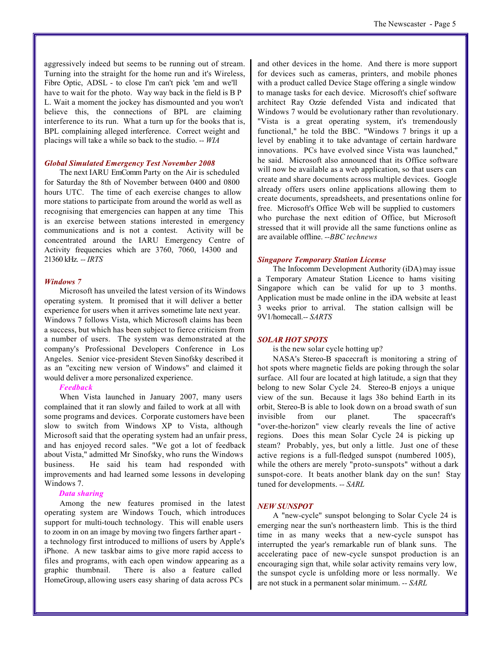aggressively indeed but seems to be running out of stream. Turning into the straight for the home run and it's Wireless, Fibre Optic, ADSL - to close I'm can't pick 'em and we'll have to wait for the photo. Way way back in the field is B P L. Wait a moment the jockey has dismounted and you won't believe this, the connections of BPL are claiming interference to its run. What a turn up for the books that is, BPL complaining alleged interference. Correct weight and placings will take a while so back to the studio. *-- WIA*

#### *Global Simulated Emergency Test November 2008*

The next IARU EmComm Party on the Air is scheduled for Saturday the 8th of November between 0400 and 0800 hours UTC. The time of each exercise changes to allow more stations to participate from around the world as well as recognising that emergencies can happen at any time This is an exercise between stations interested in emergency communications and is not a contest. Activity will be concentrated around the IARU Emergency Centre of Activity frequencies which are 3760, 7060, 14300 and 21360 kHz. *-- IRTS*

#### *Windows 7*

Microsoft has unveiled the latest version of its Windows operating system. It promised that it will deliver a better experience for users when it arrives sometime late next year. Windows 7 follows Vista, which Microsoft claims has been a success, but which has been subject to fierce criticism from a number of users. The system was demonstrated at the company's Professional Developers Conference in Los Angeles. Senior vice-president Steven Sinofsky described it as an "exciting new version of Windows" and claimed it would deliver a more personalized experience.

#### *Feedback*

When Vista launched in January 2007, many users complained that it ran slowly and failed to work at all with some programs and devices. Corporate customers have been slow to switch from Windows XP to Vista, although Microsoft said that the operating system had an unfair press, and has enjoyed record sales. "We got a lot of feedback about Vista," admitted Mr Sinofsky, who runs the Windows business. He said his team had responded with improvements and had learned some lessons in developing Windows 7.

#### *Data sharing*

Among the new features promised in the latest operating system are Windows Touch, which introduces support for multi-touch technology. This will enable users to zoom in on an image by moving two fingers farther apart a technology first introduced to millions of users by Apple's iPhone. A new taskbar aims to give more rapid access to files and programs, with each open window appearing as a graphic thumbnail. There is also a feature called HomeGroup, allowing users easy sharing of data across PCs

and other devices in the home. And there is more support for devices such as cameras, printers, and mobile phones with a product called Device Stage offering a single window to manage tasks for each device. Microsoft's chief software architect Ray Ozzie defended Vista and indicated that Windows 7 would be evolutionary rather than revolutionary. "Vista is a great operating system, it's tremendously functional," he told the BBC. "Windows 7 brings it up a level by enabling it to take advantage of certain hardware innovations. PCs have evolved since Vista was launched," he said. Microsoft also announced that its Office software will now be available as a web application, so that users can create and share documents across multiple devices. Google already offers users online applications allowing them to create documents, spreadsheets, and presentations online for free. Microsoft's Office Web will be supplied to customers who purchase the next edition of Office, but Microsoft stressed that it will provide all the same functions online as are available offline. *--BBC technews*

#### *Singapore Temporary Station License*

The Infocomm Development Authority (iDA) may issue a Temporary Amateur Station Licence to hams visiting Singapore which can be valid for up to 3 months. Application must be made online in the iDA website at least 3 weeks prior to arrival. The station callsign will be 9V1/homecall.*-- SARTS*

#### *SOLAR HOT SPOTS*

#### is the new solar cycle hotting up?

NASA's Stereo-B spacecraft is monitoring a string of hot spots where magnetic fields are poking through the solar surface. All four are located at high latitude, a sign that they belong to new Solar Cycle 24. Stereo-B enjoys a unique view of the sun. Because it lags 38o behind Earth in its orbit, Stereo-B is able to look down on a broad swath of sun invisible from our planet. The spacecraft's "over-the-horizon" view clearly reveals the line of active regions. Does this mean Solar Cycle 24 is picking up steam? Probably, yes, but only a little. Just one of these active regions is a full-fledged sunspot (numbered 1005), while the others are merely "proto-sunspots" without a dark sunspot-core. It beats another blank day on the sun! Stay tuned for developments. *-- SARL*

#### *NEW SUNSPOT*

A "new-cycle" sunspot belonging to Solar Cycle 24 is emerging near the sun's northeastern limb. This is the third time in as many weeks that a new-cycle sunspot has interrupted the year's remarkable run of blank suns. The accelerating pace of new-cycle sunspot production is an encouraging sign that, while solar activity remains very low, the sunspot cycle is unfolding more or less normally. We are not stuck in a permanent solar minimum. *-- SARL*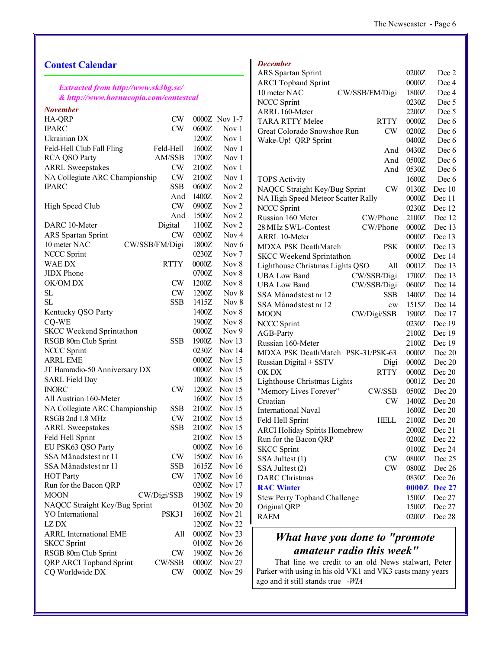| <b>Contest Calendar</b>                |                |         |                  | <b>December</b>                                           |         |                |
|----------------------------------------|----------------|---------|------------------|-----------------------------------------------------------|---------|----------------|
|                                        |                |         |                  | <b>ARS</b> Spartan Sprint                                 | 0200Z   | Dec 2          |
| Extracted from http://www.sk3bg.se/    |                |         |                  | <b>ARCI</b> Topband Sprint                                | $0000Z$ | Dec 4          |
| & http://www.hornucopia.com/contestcal |                |         |                  | 10 meter NAC<br>CW/SSB/FM/Digi                            | 1800Z   | Dec 4          |
|                                        |                |         |                  | <b>NCCC Sprint</b>                                        | 0230Z   | Dec 5          |
| <b>November</b>                        |                |         |                  | ARRL 160-Meter                                            | 2200Z   | Dec 5          |
| <b>HA-QRP</b>                          | <b>CW</b>      |         | 0000Z Nov 1-7    | <b>TARA RTTY Melee</b><br><b>RTTY</b>                     | $0000Z$ | Dec 6          |
| <b>IPARC</b>                           | <b>CW</b>      | 0600Z   | Nov 1            | CW<br>Great Colorado Snowshoe Run                         | 0200Z   | Dec 6          |
| Ukrainian DX                           |                | 1200Z   | Nov 1            | Wake-Up! QRP Sprint                                       | 0400Z   | Dec 6          |
| Feld-Hell Club Fall Fling              | Feld-Hell      | 1600Z   | Nov 1            | And                                                       | 0430Z   | Dec 6          |
| <b>RCA QSO Party</b>                   | AM/SSB         | 1700Z   | Nov 1            | And                                                       | 0500Z   | Dec 6          |
| <b>ARRL Sweepstakes</b>                | <b>CW</b>      | 2100Z   | Nov 1            | And                                                       | 0530Z   | Dec 6          |
| NA Collegiate ARC Championship         | <b>CW</b>      | 2100Z   | Nov 1            | <b>TOPS Activity</b>                                      | 1600Z   | Dec 6          |
| <b>IPARC</b>                           | <b>SSB</b>     | 0600Z   | Nov 2            | NAQCC Straight Key/Bug Sprint<br>$\mathrm{CW}$            | 0130Z   | Dec 10         |
|                                        | And            | 1400Z   | Nov <sub>2</sub> | NA High Speed Meteor Scatter Rally                        | 0000Z   | Dec 11         |
| High Speed Club                        | <b>CW</b>      | 0900Z   | Nov <sub>2</sub> | <b>NCCC Sprint</b>                                        | 0230Z   | Dec 12         |
|                                        | And            | 1500Z   | Nov <sub>2</sub> | Russian 160 Meter<br>CW/Phone                             | 2100Z   | Dec 12         |
| DARC 10-Meter                          | Digital        | 1100Z   | Nov <sub>2</sub> | 28 MHz SWL-Contest<br>CW/Phone                            | 0000Z   | Dec 13         |
| ARS Spartan Sprint                     | <b>CW</b>      | 0200Z   | Nov <sub>4</sub> | <b>ARRL 10-Meter</b>                                      | $0000Z$ | Dec 13         |
| 10 meter NAC                           | CW/SSB/FM/Digi | 1800Z   | Nov <sub>6</sub> | MDXA PSK DeathMatch<br><b>PSK</b>                         | $0000Z$ | Dec 13         |
| <b>NCCC Sprint</b>                     |                | 0230Z   | Nov <sub>7</sub> | <b>SKCC Weekend Sprintathon</b>                           | $0000Z$ | Dec 14         |
| WAE DX                                 | <b>RTTY</b>    | 0000Z   | Nov 8            | Lighthouse Christmas Lights QSO<br>All                    | 0001Z   | Dec 13         |
| <b>JIDX</b> Phone                      |                | 0700Z   | Nov 8            | <b>UBA Low Band</b><br>CW/SSB/Digi                        | 1700Z   | Dec 13         |
| OK/OM DX                               | <b>CW</b>      | 1200Z   | Nov 8            | CW/SSB/Digi<br><b>UBA Low Band</b>                        | 0600Z   | Dec 14         |
| SL                                     | <b>CW</b>      | 1200Z   | Nov 8            | <b>SSB</b><br>SSA Månadstest nr 12                        | 1400Z   | Dec 14         |
| <b>SL</b>                              | <b>SSB</b>     | 1415Z   | Nov 8            | SSA Månadstest nr 12<br>cw                                | 1515Z   | Dec 14         |
| Kentucky QSO Party                     |                | 1400Z   | Nov 8            | <b>MOON</b><br>CW/Digi/SSB                                | 1900Z   | Dec 17         |
| CQ-WE                                  |                | 1900Z   | Nov 8            | <b>NCCC Sprint</b>                                        | 0230Z   | Dec 19         |
| SKCC Weekend Sprintathon               |                | 0000Z   | Nov $9$          | AGB-Party                                                 | 2100Z   | Dec 19         |
| RSGB 80m Club Sprint                   | <b>SSB</b>     | 1900Z   | Nov 13           | Russian 160-Meter                                         | 2100Z   | Dec 19         |
| <b>NCCC Sprint</b>                     |                | 0230Z   | Nov 14           | MDXA PSK DeathMatch PSK-31/PSK-63                         | 0000Z   | Dec 20         |
| <b>ARRL EME</b>                        |                | $0000Z$ | Nov $15$         | Russian Digital + SSTV<br>Digi                            | 0000Z   | Dec 20         |
| JT Hamradio-50 Anniversary DX          |                | $0000Z$ | Nov $15$         | OK DX<br><b>RTTY</b>                                      | $0000Z$ | Dec 20         |
| <b>SARL Field Day</b>                  |                | 1000Z   | Nov $15$         | Lighthouse Christmas Lights                               | 0001Z   | Dec 20         |
| <b>INORC</b>                           | <b>CW</b>      | 1200Z   | Nov $15$         | "Memory Lives Forever"<br>CW/SSB                          | 0500Z   | Dec 20         |
| All Austrian 160-Meter                 |                | 1600Z   | Nov $15$         | Croatian<br><b>CW</b>                                     | 1400Z   | Dec 20         |
| NA Collegiate ARC Championship         | <b>SSB</b>     | 2100Z   | Nov $15$         | <b>International Naval</b>                                | 1600Z   | Dec 20         |
| RSGB 2nd 1.8 MHz                       | <b>CW</b>      | 2100Z   | Nov 15           | <b>HELL</b><br>Feld Hell Sprint                           |         | $2100Z$ Dec 20 |
| <b>ARRL Sweepstakes</b>                | <b>SSB</b>     |         | 2100Z Nov 15     | <b>ARCI Holiday Spirits Homebrew</b>                      |         | 2000Z Dec 21   |
| Feld Hell Sprint                       |                |         | 2100Z Nov 15     | Run for the Bacon QRP                                     | 0200Z   | Dec 22         |
| EU PSK63 QSO Party                     |                |         | 0000Z Nov 16     | <b>SKCC Sprint</b>                                        | 0100Z   | Dec 24         |
| SSA Månadstest nr 11                   | <b>CW</b>      |         | 1500Z Nov 16     | SSA Jultest (1)<br><b>CW</b>                              | 0800Z   | Dec 25         |
| SSA Månadstest nr 11                   | <b>SSB</b>     |         | 1615Z Nov 16     | SSA Jultest (2)<br><b>CW</b>                              | 0800Z   | Dec 26         |
| <b>HOT Party</b>                       | <b>CW</b>      |         | 1700Z Nov 16     | <b>DARC</b> Christmas                                     | 0830Z   | Dec 26         |
| Run for the Bacon QRP                  |                | 0200Z   | Nov 17           | <b>RAC Winter</b>                                         |         | 0000Z Dec 27   |
| <b>MOON</b>                            | CW/Digi/SSB    | 1900Z   | Nov 19           | <b>Stew Perry Topband Challenge</b>                       | 1500Z   | Dec 27         |
| NAQCC Straight Key/Bug Sprint          |                |         | 0130Z Nov 20     | Original QRP                                              | 1500Z   | Dec 27         |
| YO International                       | PSK31          | 1600Z   | Nov 21           | <b>RAEM</b>                                               | 0200Z   | Dec 28         |
| LZ DX                                  |                |         | 1200Z Nov 22     |                                                           |         |                |
| <b>ARRL International EME</b>          | All            |         | 0000Z Nov 23     |                                                           |         |                |
| <b>SKCC</b> Sprint                     |                |         | 0100Z Nov 26     | What have you done to "promote"                           |         |                |
| RSGB 80m Club Sprint                   | <b>CW</b>      |         | 1900Z Nov 26     | amateur radio this week"                                  |         |                |
| QRP ARCI Topband Sprint                | CW/SSB         | 0000Z   | Nov 27           | That line we credit to an old News stalwart, Peter        |         |                |
| CQ Worldwide DX                        | <b>CW</b>      |         | 0000Z Nov 29     | Parker with using in his old VK1 and VK3 casts many years |         |                |

Parker with using in his old VK1 and VK3 casts many years ago and it still stands true *-WIA*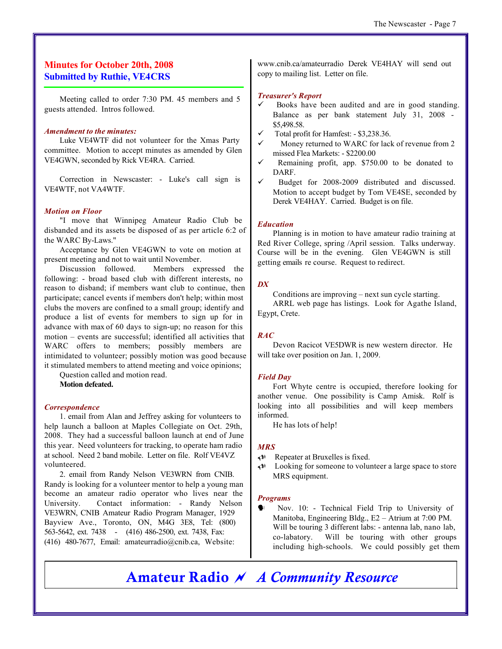#### **Minutes for October 20th, 2008 Submitted by Ruthie, VE4CRS**

Meeting called to order 7:30 PM. 45 members and 5 guests attended. Intros followed.

#### *Amendment to the minutes:*

Luke VE4WTF did not volunteer for the Xmas Party committee. Motion to accept minutes as amended by Glen VE4GWN, seconded by Rick VE4RA. Carried.

Correction in Newscaster: - Luke's call sign is VE4WTF, not VA4WTF.

#### *Motion on Floor*

"I move that Winnipeg Amateur Radio Club be disbanded and its assets be disposed of as per article 6:2 of the WARC By-Laws."

Acceptance by Glen VE4GWN to vote on motion at present meeting and not to wait until November.

Discussion followed. Members expressed the following: - broad based club with different interests, no reason to disband; if members want club to continue, then participate; cancel events if members don't help; within most clubs the movers are confined to a small group; identify and produce a list of events for members to sign up for in advance with max of 60 days to sign-up; no reason for this motion – events are successful; identified all activities that WARC offers to members; possibly members are intimidated to volunteer; possibly motion was good because it stimulated members to attend meeting and voice opinions;

Question called and motion read.

**Motion defeated.**

#### *Correspondence*

1. email from Alan and Jeffrey asking for volunteers to help launch a balloon at Maples Collegiate on Oct. 29th, 2008. They had a successful balloon launch at end of June this year. Need volunteers for tracking, to operate ham radio at school. Need 2 band mobile. Letter on file. Rolf VE4VZ volunteered.

2. email from Randy Nelson VE3WRN from CNIB. Randy is looking for a volunteer mentor to help a young man become an amateur radio operator who lives near the University. Contact information: - Randy Nelson VE3WRN, CNIB Amateur Radio Program Manager, 1929 Bayview Ave., Toronto, ON, M4G 3E8, Tel: (800) 563-5642, ext. 7438 - (416) 486-2500, ext. 7438, Fax: (416) 480-7677, Email: amateurradio@cnib.ca, Website:

www.cnib.ca/amateurradio Derek VE4HAY will send out copy to mailing list. Letter on file.

#### *Treasurer's Report*

- Books have been audited and are in good standing. Balance as per bank statement July 31, 2008 - \$5,498.58.
- ¸ Total profit for Hamfest: \$3,238.36.
- Money returned to WARC for lack of revenue from 2 missed Flea Markets: - \$2200.00
- $\checkmark$  Remaining profit, app. \$750.00 to be donated to DARF.
- Budget for 2008-2009 distributed and discussed. Motion to accept budget by Tom VE4SE, seconded by Derek VE4HAY. Carried. Budget is on file.

#### *Education*

Planning is in motion to have amateur radio training at Red River College, spring /April session. Talks underway. Course will be in the evening. Glen VE4GWN is still getting emails re course. Request to redirect.

#### *DX*

Conditions are improving – next sun cycle starting.

ARRL web page has listings. Look for Agathe Island, Egypt, Crete.

#### *RAC*

Devon Racicot VE5DWR is new western director. He will take over position on Jan. 1, 2009.

#### *Field Day*

Fort Whyte centre is occupied, therefore looking for another venue. One possibility is Camp Amisk. Rolf is looking into all possibilities and will keep members informed.

He has lots of help!

#### *MRS*

- $\leftrightarrow$  Repeater at Bruxelles is fixed.
- $\triangleleft$  Looking for someone to volunteer a large space to store MRS equipment.

#### *Programs*

Nov. 10: - Technical Field Trip to University of Manitoba, Engineering Bldg., E2 – Atrium at 7:00 PM. Will be touring 3 different labs: - antenna lab, nano lab, co-labatory. Will be touring with other groups including high-schools. We could possibly get them

**Amateur Radio** ~ *A Community Resource*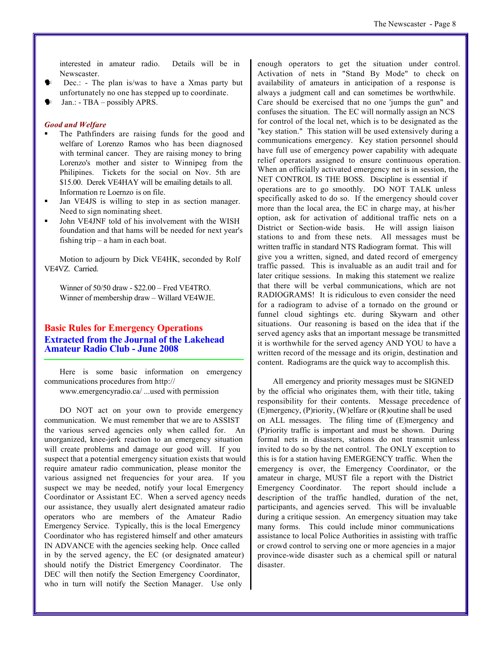interested in amateur radio. Details will be in Newscaster.

- Dec.: The plan is/was to have a Xmas party but unfortunately no one has stepped up to coordinate.
- Jan.: TBA possibly APRS.

#### *Good and Welfare*

- ß The Pathfinders are raising funds for the good and welfare of Lorenzo Ramos who has been diagnosed with terminal cancer. They are raising money to bring Lorenzo's mother and sister to Winnipeg from the Philipines. Tickets for the social on Nov. 5th are \$15.00. Derek VE4HAY will be emailing details to all. Information re Loernzo is on file.
- Jan VE4JS is willing to step in as section manager. Need to sign nominating sheet.
- ß John VE4JNF told of his involvement with the WISH foundation and that hams will be needed for next year's fishing trip – a ham in each boat.

Motion to adjourn by Dick VE4HK, seconded by Rolf VE4VZ. Carried.

Winner of 50/50 draw - \$22.00 – Fred VE4TRO. Winner of membership draw – Willard VE4WJE.

#### **Basic Rules for Emergency Operations Extracted from the Journal of the Lakehead Amateur Radio Club - June 2008**

Here is some basic information on emergency communications procedures from http://

www.emergencyradio.ca/ ...used with permission

DO NOT act on your own to provide emergency communication. We must remember that we are to ASSIST the various served agencies only when called for. An unorganized, knee-jerk reaction to an emergency situation will create problems and damage our good will. If you suspect that a potential emergency situation exists that would require amateur radio communication, please monitor the various assigned net frequencies for your area. If you suspect we may be needed, notify your local Emergency Coordinator or Assistant EC. When a served agency needs our assistance, they usually alert designated amateur radio operators who are members of the Amateur Radio Emergency Service. Typically, this is the local Emergency Coordinator who has registered himself and other amateurs IN ADVANCE with the agencies seeking help. Once called in by the served agency, the EC (or designated amateur) should notify the District Emergency Coordinator. The DEC will then notify the Section Emergency Coordinator, who in turn will notify the Section Manager. Use only

enough operators to get the situation under control. Activation of nets in "Stand By Mode" to check on availability of amateurs in anticipation of a response is always a judgment call and can sometimes be worthwhile. Care should be exercised that no one 'jumps the gun" and confuses the situation. The EC will normally assign an NCS for control of the local net, which is to be designated as the "key station." This station will be used extensively during a communications emergency. Key station personnel should have full use of emergency power capability with adequate relief operators assigned to ensure continuous operation. When an officially activated emergency net is in session, the NET CONTROL IS THE BOSS. Discipline is essential if operations are to go smoothly. DO NOT TALK unless specifically asked to do so. If the emergency should cover more than the local area, the EC in charge may, at his/her option, ask for activation of additional traffic nets on a District or Section-wide basis. He will assign liaison stations to and from these nets. All messages must be written traffic in standard NTS Radiogram format. This will give you a written, signed, and dated record of emergency traffic passed. This is invaluable as an audit trail and for later critique sessions. In making this statement we realize that there will be verbal communications, which are not RADIOGRAMS! It is ridiculous to even consider the need for a radiogram to advise of a tornado on the ground or funnel cloud sightings etc. during Skywarn and other situations. Our reasoning is based on the idea that if the served agency asks that an important message be transmitted it is worthwhile for the served agency AND YOU to have a written record of the message and its origin, destination and content. Radiograms are the quick way to accomplish this.

All emergency and priority messages must be SIGNED by the official who originates them, with their title, taking responsibility for their contents. Message precedence of (E)mergency, (P)riority, (W)elfare or (R)outine shall be used on ALL messages. The filing time of (E)mergency and (P)riority traffic is important and must be shown. During formal nets in disasters, stations do not transmit unless invited to do so by the net control. The ONLY exception to this is for a station having EMERGENCY traffic. When the emergency is over, the Emergency Coordinator, or the amateur in charge, MUST file a report with the District Emergency Coordinator. The report should include a description of the traffic handled, duration of the net, participants, and agencies served. This will be invaluable during a critique session. An emergency situation may take many forms. This could include minor communications assistance to local Police Authorities in assisting with traffic or crowd control to serving one or more agencies in a major province-wide disaster such as a chemical spill or natural disaster.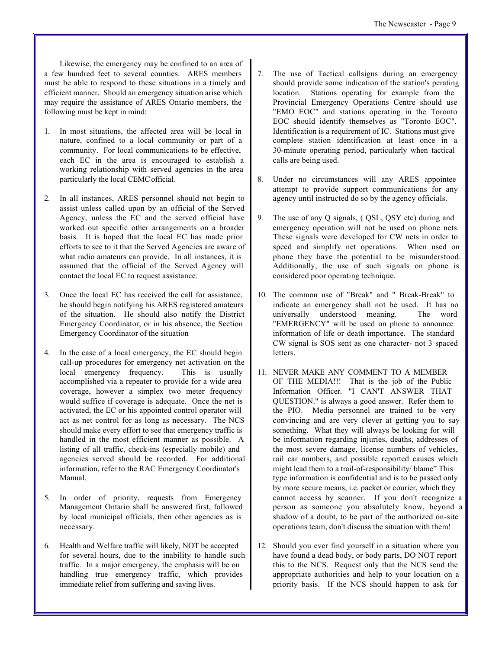Likewise, the emergency may be confined to an area of a few hundred feet to several counties. ARES members must be able to respond to these situations in a timely and efficient manner. Should an emergency situation arise which may require the assistance of ARES Ontario members, the following must be kept in mind:

- 1. In most situations, the affected area will be local in nature, confined to a local community or part of a community. For local communications to be effective, each EC in the area is encouraged to establish a working relationship with served agencies in the area particularly the local CEMC official.
- 2. In all instances, ARES personnel should not begin to assist unless called upon by an official of the Served Agency, unless the EC and the served official have worked out specific other arrangements on a broader basis. It is hoped that the local EC has made prior efforts to see to it that the Served Agencies are aware of what radio amateurs can provide. In all instances, it is assumed that the official of the Served Agency will contact the local EC to request assistance.
- 3. Once the local EC has received the call for assistance, he should begin notifying his ARES registered amateurs of the situation. He should also notify the District Emergency Coordinator, or in his absence, the Section Emergency Coordinator of the situation
- 4. In the case of a local emergency, the EC should begin call-up procedures for emergency net activation on the local emergency frequency. This is usually accomplished via a repeater to provide for a wide area coverage, however a simplex two meter frequency would suffice if coverage is adequate. Once the net is activated, the EC or his appointed control operator will act as net control for as long as necessary. The NCS should make every effort to see that emergency traffic is handled in the most efficient manner as possible. A listing of all traffic, check-ins (especially mobile) and agencies served should be recorded. For additional information, refer to the RAC Emergency Coordinator's Manual.
- 5. In order of priority, requests from Emergency Management Ontario shall be answered first, followed by local municipal officials, then other agencies as is necessary.
- 6. Health and Welfare traffic will likely, NOT be accepted for several hours, due to the inability to handle such traffic. In a major emergency, the emphasis will be on handling true emergency traffic, which provides immediate relief from suffering and saving lives.
- 7. The use of Tactical callsigns during an emergency should provide some indication of the station's perating location. Stations operating for example from the Provincial Emergency Operations Centre should use "EMO EOC" and stations operating in the Toronto EOC should identify themselves as "Toronto EOC". Identification is a requirement of IC. Stations must give complete station identification at least once in a 30-minute operating period, particularly when tactical calls are being used.
- 8. Under no circumstances will any ARES appointee attempt to provide support communications for any agency until instructed do so by the agency officials.
- 9. The use of any Q signals, ( QSL, QSY etc) during and emergency operation will not be used on phone nets. These signals were developed for CW nets in order to speed and simplify net operations. When used on phone they have the potential to be misunderstood. Additionally, the use of such signals on phone is considered poor operating technique.
- 10. The common use of "Break" and " Break-Break" to indicate an emergency shall not be used. It has no universally understood meaning. The word "EMERGENCY" will be used on phone to announce information of life or death importance. The standard CW signal is SOS sent as one character- not 3 spaced letters.
- 11. NEVER MAKE ANY COMMENT TO A MEMBER OF THE MEDIA!!! That is the job of the Public Information Officer. "I CAN'T ANSWER THAT QUESTION." is always a good answer. Refer them to the PIO. Media personnel are trained to be very convincing and are very clever at getting you to say something. What they will always be looking for will be information regarding injuries, deaths, addresses of the most severe damage, license numbers of vehicles, rail car numbers, and possible reported causes which might lead them to a trail-of-responsibility/ blame" This type information is confidential and is to be passed only by more secure means, i.e. packet or courier, which they cannot access by scanner. If you don't recognize a person as someone you absolutely know, beyond a shadow of a doubt, to be part of the authorized on-site operations team, don't discuss the situation with them!
- 12. Should you ever find yourself in a situation where you have found a dead body, or body parts, DO NOT report this to the NCS. Request only that the NCS send the appropriate authorities and help to your location on a priority basis. If the NCS should happen to ask for